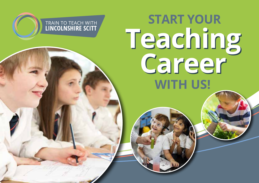

**TRAIN TO TEACH WITH<br>LINCOLNSHIRE SCITT**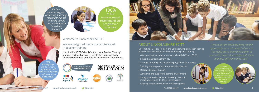# Welcome to Lincolnshire SCITT.

We are delighted that you are interested in teacher training.

Lincolnshire SCITT (School Centred Initial Teacher Training) works in partnership across Lincolnshire to deliver high quality school-based primary and secondary teacher training.

# ABOUT LINCOLNSHIRE SCITT

Lincolnshire SCITT is a Primary and Secondary Initial Teacher Training provider in Lincolnshire and the surrounding areas offering:

- A bespoke training programme which blends QTS and PGCE
- School-based training from Day 1
- A caring, nurturing and supportive programme for trainees
- Training in a range of schools across Lincolnshire
- Dedicated mentor support
- A dynamic and supportive learning environment
- Strong partnership with the University of Lincoln, including access to the University's facilities
- Ongoing career opportunities and development



2 3 **Tel: 01522 889297 www.lincolnshirescitt.co.uk @LincScitt Tel: 01522 889297 www.lincolnshirescitt.co.uk @LincScitt** 

*"It has been ndoubtedly hard, b unbelievably rewarding*  and the sense of *achievement now I a drawing to the end c the course is amazing."*





*"It's been an amazing year observing, teaching, meeting the most amazing people and working with incredible children."*



100% of our trainees would recommend our programme to others

*"The training days have been very informative, and have also supported confidence in my own abilities."*









*opportunity to be a true part of a class.*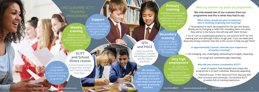# LINCOLNSHIRE SCITT TRAINING PROGRAMME

## *What our trainees say about our programme...*

# **QTS and PGCE**

Upon successful completion, trainees will achieve Qualified Teacher Status and PGCE.

 **We interviewed two of our trainees from our programme and this is what they had to say:**

#### **What advice would you give to someone who is thinking of getting into teaching?**

**B:** Do it! I am so unbelievably grateful to Lincolnshire SCITT for this training year and although it was a tough year, if you are dedicated about becoming a teacher then this is the course to help you get there!

**A:** Be prepared to work. Be prepared for the ups and downs. Mostly you're changing a child's life, moulding them into what they will be in the future, this will stay with them forever.

> **B:** Tailored to you. In the classroom from day one with clear structure and continuity. Lincolnshire SCITT provides full-on training experience.



#### **In approximately 5 words, describe your experience of teacher training?**

**B:** It's tough but overwhelmingly rewarding.

Delivered across a range of schools by highly skilled teachers. Trainees will work with phonics specialists throughout

**A:** Life changing, very challenging, exhausting but hugely rewarding.

# **Weekly** access to a wide range **and the year.** We are a set of the year. **training**

### **Why did you choose Lincolnshire SCITT?**

 **A:** Level of support, how bespoke and unique the programme is to each individual. Massively appealing.

**Secondary training** 

Dedicated subject specialists will help you develop your subject knowledge for teaching.

# **Very high employment**

 - the majority in Lincolnshire schools.

Preparation for employment included as part of the training programme.

**We believe the best preparation for your career in teaching is to learn from experienced and dynamic practising teachers.**

## **Primary training**

Bespoke training programme jointly delivered by school-based and University-based professionals.

# **Support**

All trainees have

of personal support throughout their SCITT journey.

# **SCITT and School Direct routes**

A school-based training programme; trainees are in school setting from Day 1.

**Tel: 01522 889297 www.lincolnshirescitt.co.uk @LincScitt Tel: 01522 889297 www.lincolnshirescitt.co.uk @LincScitt** 

A one year postgraduate school centred Initial Teacher Training programme.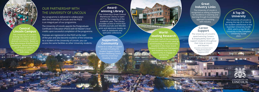6

OUR PARTNERSHIP WITH THE UNIVERSITY OF LINCOLN

Our programme is delivered in collaboration with the University of Lincoln and the PGCE is an integral part of our programme.

The University of Lincoln awards the Postgraduate Certificate in Education (PGCE) with 60 Master's level credits upon successful completion of the programme.

Trainees are registered on the PGCE at the start of the year and also become students of the University. As a student of the University of Lincoln, you can access the same facilities as other University students.

Warehouse Library is open 24/7 for the majority of the academic year. The Library provides access to more than 250,000 journals and 400,000 print and electronic books, as well as databases and specialist collections. **World-**

7

## **A Top 20 University**

of Lincoln's research was rated as world-leading or internationally excellent in the most recent **Excellence Framework** and students may have the opportunity to engage in pioneering **projects** 

The University of Lincoln is among the top 20 in the UK for student satisfaction in the Guardian University Guide 2022, and is a top 50 UK University in the Complete University Guide 2022.



**THE 4 R.F.** 

UNIVERSITY OF LINCOLN

### **Great Industry Links**

The University of Lincoln is recognised as setting a blueprint for excellence in teaching and learning through its pioneering approach to working with industry.

### **Awardwinning Library** The University's Great Central





More than half of the University

**THE CONTRACTOR** 

**Central Lincoln Campus**

provides a modern studentcentred community. Based on the picturesque Brayford Poo waterfront, almost everything

> campus or a short walk away.

**Supportive Community**

Access to a range of support services including the Student Support Centre, Student Wellbeing Centre and the University's Disability Service.

### **Career Support**

The University of Lincoln's award-winning Careers & Employability team can support students throughout their time at Lincoln and beyond.

> *(Association of Graduate Careers Advisory Services Award for Excellence in Employ Engagement (2016).*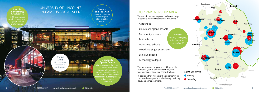We work in partnership with a diverse range of schools across Lincolnshire, including:

- Academies
- Church of England schools
- Community schools
- Faith schools
- Maintained schools

- Mixed and single sex schools
- Selective schools
- Technology colleges





*Primary Secondary*

#### **AREAS WE COVER**

*"Fantastic training – engaging, informative and educational."*

Trainees on our programme will spend the academic year in one main school, with teaching experience in a second school.

In addition they will have the opportunity to visit a wide range of schools through training days and enhanced visits.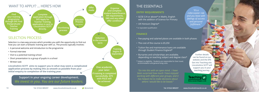- A personal welcome and introduction to the programme
- Formal interview
- Visit to a potential training school
- Short presentation to a group of pupils in a school
- Written task



**One academic year later: If training is completed successfully, QTS with PGCE will be achieved**

**Training begins in September** 

**Lincolnshire SCITT aims to support you in what may seem a complicated application process by making this as smooth as possible from your initial enquiry to completion of the training year.**

# THE ESSENTIALS

## **ENTRY REQUIREMENTS**

- GCSE C/4 or above\* in Maths, English with the addition of Science for Primary
- UK Honours Degree\*
- \* or equivalent qualification

## **FINANCE**

- Fee-paying and salaried places are available in both phases
- The cost of the course is £9,250
- Tuition fee and maintenance loans are available through Student Finance England\*
- Bursaries and scholarships are available, depending on teaching subject and degree class\*
- \* Subject to eligibility Students are responsible for their travel, accommodation and general living costs.

*We invest in you. You are our future leaders.*  **Support in your ongoing career development.**

*"Go into this with an open mind. I have been surprised how much I have enjoyed working with different year groups, and it has helped me to make decisions about where I would like to be based."*

**Further details can be found on our website and the DFE Get into Teaching site. Lincolnshire SCITT will support you in your teaching journey.** 

*"It's a rollercoaster ride and you leave with feelings of success and personal fulfillment."*